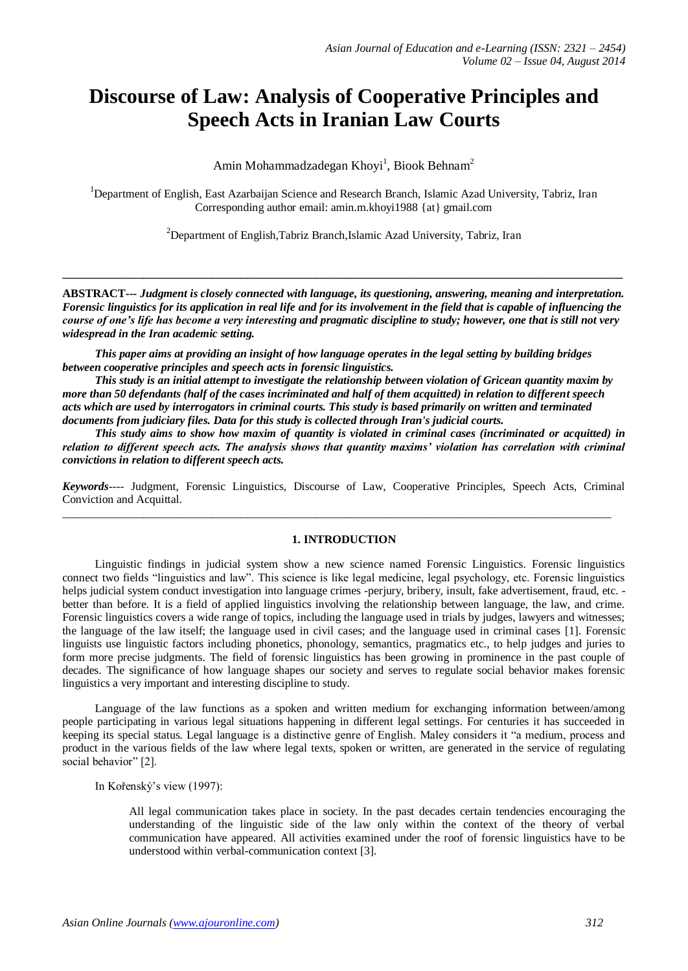# **Discourse of Law: Analysis of Cooperative Principles and Speech Acts in Iranian Law Courts**

Amin Mohammadzadegan Khoyi<sup>1</sup>, Biook Behnam<sup>2</sup>

<sup>1</sup>Department of English, East Azarbaijan Science and Research Branch, Islamic Azad University, Tabriz, Iran Corresponding author email: amin.m.khoyi1988 {at} gmail.com

<sup>2</sup>Department of English, Tabriz Branch, Islamic Azad University, Tabriz, Iran

**ABSTRACT---** *Judgment is closely connected with language, its questioning, answering, meaning and interpretation. Forensic linguistics for its application in real life and for its involvement in the field that is capable of influencing the course of one's life has become a very interesting and pragmatic discipline to study; however, one that is still not very widespread in the Iran academic setting.*

**\_\_\_\_\_\_\_\_\_\_\_\_\_\_\_\_\_\_\_\_\_\_\_\_\_\_\_\_\_\_\_\_\_\_\_\_\_\_\_\_\_\_\_\_\_\_\_\_\_\_\_\_\_\_\_\_\_\_\_\_\_\_\_\_\_\_\_\_\_\_\_\_\_\_\_\_\_\_\_\_\_\_\_\_\_\_\_\_\_\_\_\_\_\_\_\_\_**

*This paper aims at providing an insight of how language operates in the legal setting by building bridges between cooperative principles and speech acts in forensic linguistics.*

*This study is an initial attempt to investigate the relationship between violation of Gricean quantity maxim by more than 50 defendants (half of the cases incriminated and half of them acquitted) in relation to different speech acts which are used by interrogators in criminal courts. This study is based primarily on written and terminated documents from judiciary files. Data for this study is collected through Iran's judicial courts.*

*This study aims to show how maxim of quantity is violated in criminal cases (incriminated or acquitted) in relation to different speech acts. The analysis shows that quantity maxims' violation has correlation with criminal convictions in relation to different speech acts.* 

*Keywords*---- Judgment, Forensic Linguistics, Discourse of Law, Cooperative Principles, Speech Acts, Criminal Conviction and Acquittal.

 $\_$  ,  $\_$  ,  $\_$  ,  $\_$  ,  $\_$  ,  $\_$  ,  $\_$  ,  $\_$  ,  $\_$  ,  $\_$  ,  $\_$  ,  $\_$  ,  $\_$  ,  $\_$  ,  $\_$  ,  $\_$  ,  $\_$  ,  $\_$  ,  $\_$  ,  $\_$  ,  $\_$  ,  $\_$  ,  $\_$  ,  $\_$  ,  $\_$  ,  $\_$  ,  $\_$  ,  $\_$  ,  $\_$  ,  $\_$  ,  $\_$  ,  $\_$  ,  $\_$  ,  $\_$  ,  $\_$  ,  $\_$  ,  $\_$  ,

### **1. INTRODUCTION**

Linguistic findings in judicial system show a new science named Forensic Linguistics. Forensic linguistics connect two fields "linguistics and law". This science is like legal medicine, legal psychology, etc. Forensic linguistics helps judicial system conduct investigation into language crimes -perjury, bribery, insult, fake advertisement, fraud, etc. better than before. It is a field of applied linguistics involving the relationship between language, the law, and crime. Forensic linguistics covers a wide range of topics, including the language used in trials by judges, lawyers and witnesses; the language of the law itself; the language used in civil cases; and the language used in criminal cases [1]. Forensic linguists use linguistic factors including phonetics, phonology, semantics, pragmatics etc., to help judges and juries to form more precise judgments. The field of forensic linguistics has been growing in prominence in the past couple of decades. The significance of how language shapes our society and serves to regulate social behavior makes forensic linguistics a very important and interesting discipline to study.

Language of the law functions as a spoken and written medium for exchanging information between/among people participating in various legal situations happening in different legal settings. For centuries it has succeeded in keeping its special status. Legal language is a distinctive genre of English. Maley considers it "a medium, process and product in the various fields of the law where legal texts, spoken or written, are generated in the service of regulating social behavior" [2].

In Kořenský's view (1997):

All legal communication takes place in society. In the past decades certain tendencies encouraging the understanding of the linguistic side of the law only within the context of the theory of verbal communication have appeared. All activities examined under the roof of forensic linguistics have to be understood within verbal-communication context [3].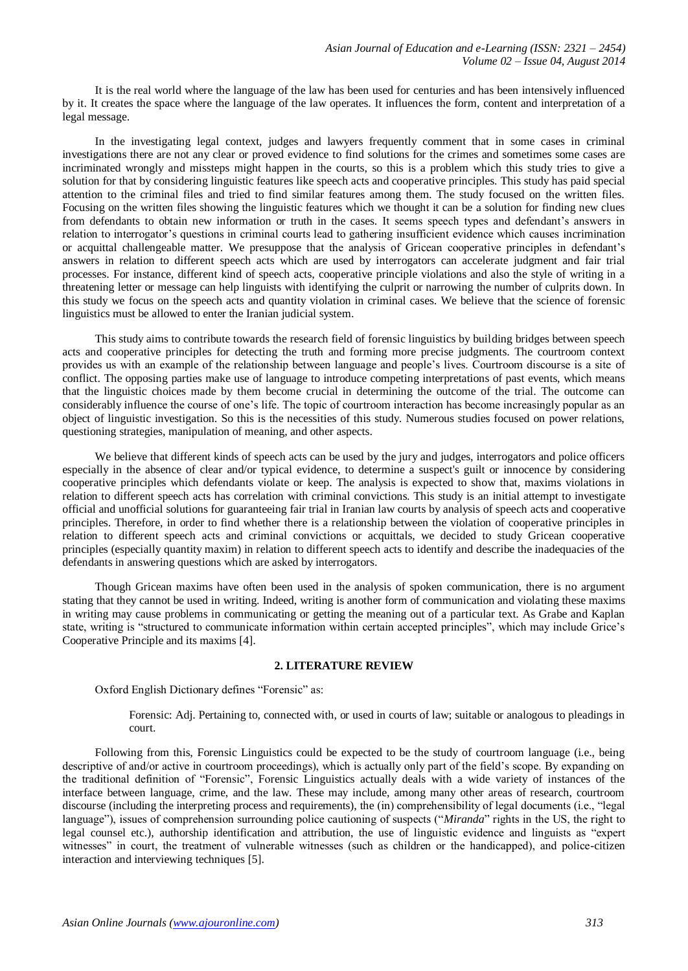It is the real world where the language of the law has been used for centuries and has been intensively influenced by it. It creates the space where the language of the law operates. It influences the form, content and interpretation of a legal message.

In the investigating legal context, judges and lawyers frequently comment that in some cases in criminal investigations there are not any clear or proved evidence to find solutions for the crimes and sometimes some cases are incriminated wrongly and missteps might happen in the courts, so this is a problem which this study tries to give a solution for that by considering linguistic features like speech acts and cooperative principles. This study has paid special attention to the criminal files and tried to find similar features among them. The study focused on the written files. Focusing on the written files showing the linguistic features which we thought it can be a solution for finding new clues from defendants to obtain new information or truth in the cases. It seems speech types and defendant's answers in relation to interrogator's questions in criminal courts lead to gathering insufficient evidence which causes incrimination or acquittal challengeable matter. We presuppose that the analysis of Gricean cooperative principles in defendant's answers in relation to different speech acts which are used by interrogators can accelerate judgment and fair trial processes. For instance, different kind of speech acts, cooperative principle violations and also the style of writing in a threatening letter or message can help linguists with identifying the culprit or narrowing the number of culprits down. In this study we focus on the speech acts and quantity violation in criminal cases. We believe that the science of forensic linguistics must be allowed to enter the Iranian judicial system.

This study aims to contribute towards the research field of forensic linguistics by building bridges between speech acts and cooperative principles for detecting the truth and forming more precise judgments. The courtroom context provides us with an example of the relationship between language and people's lives. Courtroom discourse is a site of conflict. The opposing parties make use of language to introduce competing interpretations of past events, which means that the linguistic choices made by them become crucial in determining the outcome of the trial. The outcome can considerably influence the course of one's life. The topic of courtroom interaction has become increasingly popular as an object of linguistic investigation. So this is the necessities of this study. Numerous studies focused on power relations, questioning strategies, manipulation of meaning, and other aspects.

We believe that different kinds of speech acts can be used by the jury and judges, interrogators and police officers especially in the absence of clear and/or typical evidence, to determine a suspect's guilt or innocence by considering cooperative principles which defendants violate or keep. The analysis is expected to show that, maxims violations in relation to different speech acts has correlation with criminal convictions. This study is an initial attempt to investigate official and unofficial solutions for guaranteeing fair trial in Iranian law courts by analysis of speech acts and cooperative principles. Therefore, in order to find whether there is a relationship between the violation of cooperative principles in relation to different speech acts and criminal convictions or acquittals, we decided to study Gricean cooperative principles (especially quantity maxim) in relation to different speech acts to identify and describe the inadequacies of the defendants in answering questions which are asked by interrogators.

Though Gricean maxims have often been used in the analysis of spoken communication, there is no argument stating that they cannot be used in writing. Indeed, writing is another form of communication and violating these maxims in writing may cause problems in communicating or getting the meaning out of a particular text. As Grabe and Kaplan state, writing is "structured to communicate information within certain accepted principles", which may include Grice's Cooperative Principle and its maxims [4].

# **2. LITERATURE REVIEW**

Oxford English Dictionary defines "Forensic" as:

Forensic: Adj. Pertaining to, connected with, or used in courts of law; suitable or analogous to pleadings in court.

Following from this, Forensic Linguistics could be expected to be the study of courtroom language (i.e., being descriptive of and/or active in courtroom proceedings), which is actually only part of the field's scope. By expanding on the traditional definition of "Forensic", Forensic Linguistics actually deals with a wide variety of instances of the interface between language, crime, and the law. These may include, among many other areas of research, courtroom discourse (including the interpreting process and requirements), the (in) comprehensibility of legal documents (i.e., "legal language"), issues of comprehension surrounding police cautioning of suspects ("*Miranda*" rights in the US, the right to legal counsel etc.), authorship identification and attribution, the use of linguistic evidence and linguists as "expert witnesses" in court, the treatment of vulnerable witnesses (such as children or the handicapped), and police-citizen interaction and interviewing techniques [5].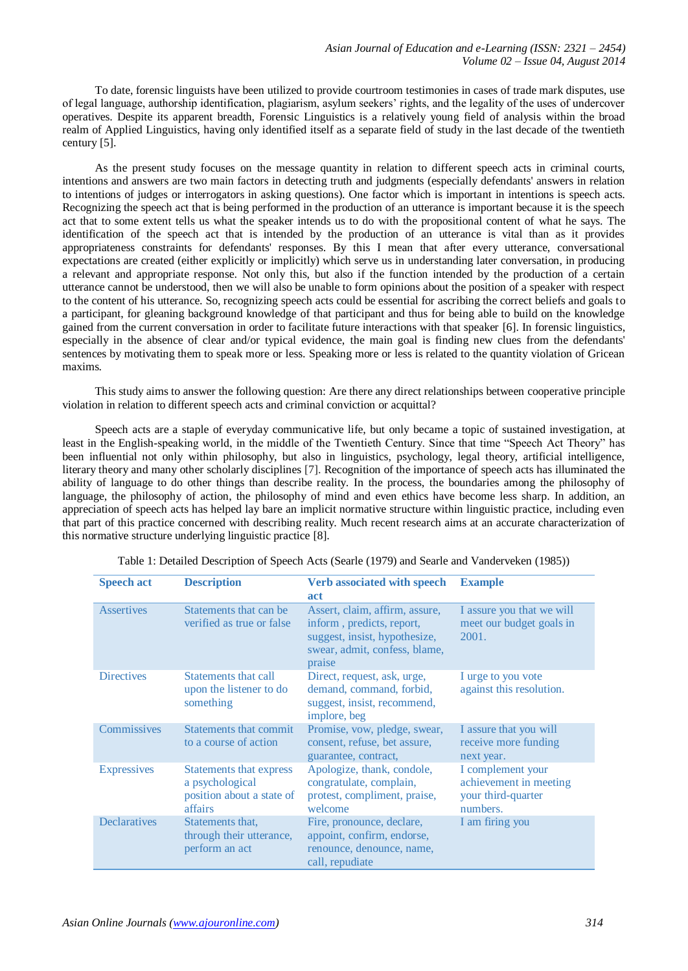To date, forensic linguists have been utilized to provide courtroom testimonies in cases of trade mark disputes, use of legal language, authorship identification, plagiarism, asylum seekers' rights, and the legality of the uses of undercover operatives. Despite its apparent breadth, Forensic Linguistics is a relatively young field of analysis within the broad realm of Applied Linguistics, having only identified itself as a separate field of study in the last decade of the twentieth century [5].

As the present study focuses on the message quantity in relation to different speech acts in criminal courts, intentions and answers are two main factors in detecting truth and judgments (especially defendants' answers in relation to intentions of judges or interrogators in asking questions). One factor which is important in intentions is speech acts. Recognizing the speech act that is being performed in the production of an utterance is important because it is the speech act that to some extent tells us what the speaker intends us to do with the propositional content of what he says. The identification of the speech act that is intended by the production of an utterance is vital than as it provides appropriateness constraints for defendants' responses. By this I mean that after every utterance, conversational expectations are created (either explicitly or implicitly) which serve us in understanding later conversation, in producing a relevant and appropriate response. Not only this, but also if the function intended by the production of a certain utterance cannot be understood, then we will also be unable to form opinions about the position of a speaker with respect to the content of his utterance. So, recognizing speech acts could be essential for ascribing the correct beliefs and goals to a participant, for gleaning background knowledge of that participant and thus for being able to build on the knowledge gained from the current conversation in order to facilitate future interactions with that speaker [6]. In forensic linguistics, especially in the absence of clear and/or typical evidence, the main goal is finding new clues from the defendants' sentences by motivating them to speak more or less. Speaking more or less is related to the quantity violation of Gricean maxims.

This study aims to answer the following question: Are there any direct relationships between cooperative principle violation in relation to different speech acts and criminal conviction or acquittal?

Speech acts are a staple of everyday communicative life, but only became a topic of sustained investigation, at least in the English-speaking world, in the middle of the Twentieth Century. Since that time "Speech Act Theory" has been influential not only within philosophy, but also in linguistics, psychology, legal theory, artificial intelligence, literary theory and many other scholarly disciplines [7]. Recognition of the importance of speech acts has illuminated the ability of language to do other things than describe reality. In the process, the boundaries among the philosophy of language, the philosophy of action, the philosophy of mind and even ethics have become less sharp. In addition, an appreciation of speech acts has helped lay bare an implicit normative structure within linguistic practice, including even that part of this practice concerned with describing reality. Much recent research aims at an accurate characterization of this normative structure underlying linguistic practice [8].

| <b>Speech act</b>   | <b>Description</b>                                                                        | <b>Verb associated with speech</b><br>act                                                                                               | <b>Example</b>                                                                |
|---------------------|-------------------------------------------------------------------------------------------|-----------------------------------------------------------------------------------------------------------------------------------------|-------------------------------------------------------------------------------|
| <b>Assertives</b>   | Statements that can be<br>verified as true or false                                       | Assert, claim, affirm, assure,<br>inform, predicts, report,<br>suggest, insist, hypothesize,<br>swear, admit, confess, blame,<br>praise | I assure you that we will<br>meet our budget goals in<br>2001.                |
| <b>Directives</b>   | Statements that call<br>upon the listener to do<br>something                              | Direct, request, ask, urge,<br>demand, command, forbid,<br>suggest, insist, recommend,<br>implore, beg                                  | I urge to you vote<br>against this resolution.                                |
| Commissives         | Statements that commit<br>to a course of action                                           | Promise, vow, pledge, swear,<br>consent, refuse, bet assure,<br>guarantee, contract,                                                    | I assure that you will<br>receive more funding<br>next year.                  |
| <b>Expressives</b>  | <b>Statements that express</b><br>a psychological<br>position about a state of<br>affairs | Apologize, thank, condole,<br>congratulate, complain,<br>protest, compliment, praise,<br>welcome                                        | I complement your<br>achievement in meeting<br>your third-quarter<br>numbers. |
| <b>Declaratives</b> | Statements that,<br>through their utterance,<br>perform an act                            | Fire, pronounce, declare,<br>appoint, confirm, endorse,<br>renounce, denounce, name,<br>call, repudiate                                 | I am firing you                                                               |

Table 1: Detailed Description of Speech Acts (Searle (1979) and Searle and Vanderveken (1985))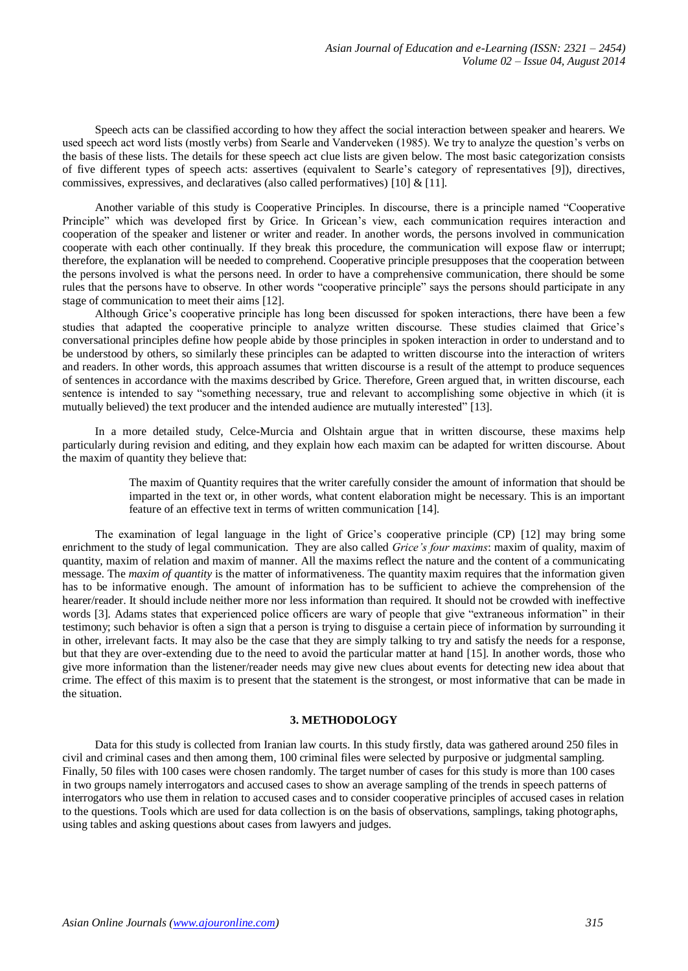Speech acts can be classified according to how they affect the social interaction between speaker and hearers. We used speech act word lists (mostly verbs) from Searle and Vanderveken (1985). We try to analyze the question's verbs on the basis of these lists. The details for these speech act clue lists are given below. The most basic categorization consists of five different types of speech acts: assertives (equivalent to Searle's category of representatives [9]), directives, commissives, expressives, and declaratives (also called performatives) [10] & [11].

Another variable of this study is Cooperative Principles. In discourse, there is a principle named "Cooperative Principle" which was developed first by Grice. In Gricean's view, each communication requires interaction and cooperation of the speaker and listener or writer and reader. In another words, the persons involved in communication cooperate with each other continually. If they break this procedure, the communication will expose flaw or interrupt; therefore, the explanation will be needed to comprehend. Cooperative principle presupposes that the cooperation between the persons involved is what the persons need. In order to have a comprehensive communication, there should be some rules that the persons have to observe. In other words "cooperative principle" says the persons should participate in any stage of communication to meet their aims [12].

Although Grice's cooperative principle has long been discussed for spoken interactions, there have been a few studies that adapted the cooperative principle to analyze written discourse. These studies claimed that Grice's conversational principles define how people abide by those principles in spoken interaction in order to understand and to be understood by others, so similarly these principles can be adapted to written discourse into the interaction of writers and readers. In other words, this approach assumes that written discourse is a result of the attempt to produce sequences of sentences in accordance with the maxims described by Grice. Therefore, Green argued that, in written discourse, each sentence is intended to say "something necessary, true and relevant to accomplishing some objective in which (it is mutually believed) the text producer and the intended audience are mutually interested" [13].

In a more detailed study, Celce-Murcia and Olshtain argue that in written discourse, these maxims help particularly during revision and editing, and they explain how each maxim can be adapted for written discourse. About the maxim of quantity they believe that:

> The maxim of Quantity requires that the writer carefully consider the amount of information that should be imparted in the text or, in other words, what content elaboration might be necessary. This is an important feature of an effective text in terms of written communication [14].

The examination of legal language in the light of Grice's cooperative principle (CP) [12] may bring some enrichment to the study of legal communication. They are also called *Grice's four maxims*: maxim of quality, maxim of quantity, maxim of relation and maxim of manner. All the maxims reflect the nature and the content of a communicating message. The *maxim of quantity* is the matter of informativeness. The quantity maxim requires that the information given has to be informative enough. The amount of information has to be sufficient to achieve the comprehension of the hearer/reader. It should include neither more nor less information than required. It should not be crowded with ineffective words [3]. Adams states that experienced police officers are wary of people that give "extraneous information" in their testimony; such behavior is often a sign that a person is trying to disguise a certain piece of information by surrounding it in other, irrelevant facts. It may also be the case that they are simply talking to try and satisfy the needs for a response, but that they are over-extending due to the need to avoid the particular matter at hand [15]. In another words, those who give more information than the listener/reader needs may give new clues about events for detecting new idea about that crime. The effect of this maxim is to present that the statement is the strongest, or most informative that can be made in the situation.

## **3. METHODOLOGY**

Data for this study is collected from Iranian law courts. In this study firstly, data was gathered around 250 files in civil and criminal cases and then among them, 100 criminal files were selected by purposive or judgmental sampling. Finally, 50 files with 100 cases were chosen randomly. The target number of cases for this study is more than 100 cases in two groups namely interrogators and accused cases to show an average sampling of the trends in speech patterns of interrogators who use them in relation to accused cases and to consider cooperative principles of accused cases in relation to the questions. Tools which are used for data collection is on the basis of observations, samplings, taking photographs, using tables and asking questions about cases from lawyers and judges.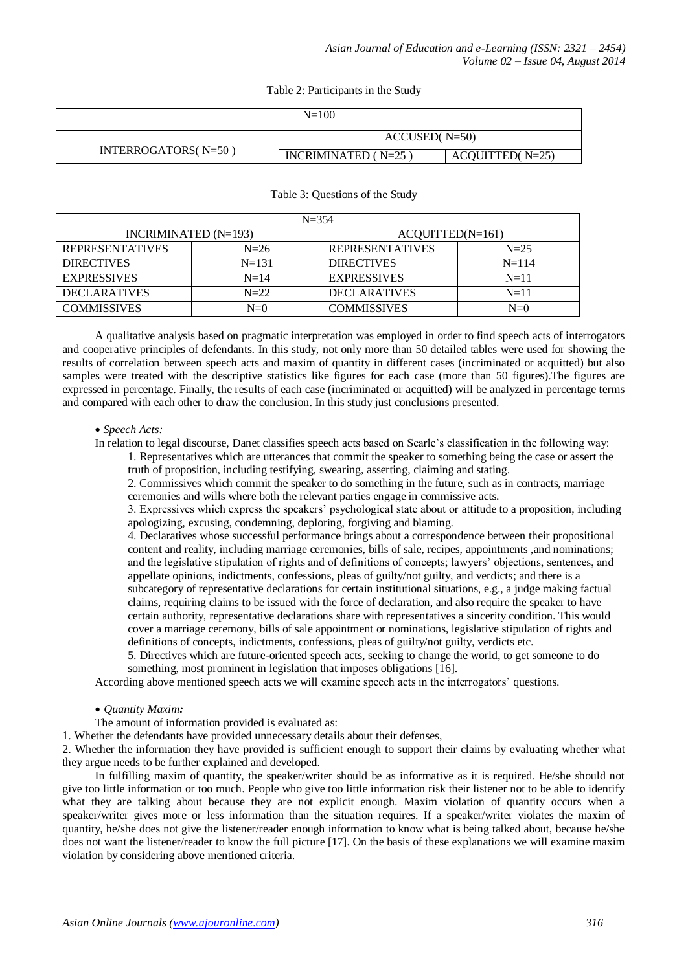Table 2: Participants in the Study

| $N = 100$           |                       |                   |  |  |  |
|---------------------|-----------------------|-------------------|--|--|--|
|                     | $ACCUSED(N=50)$       |                   |  |  |  |
| INTERROGATORS(N=50) | INCRIMINATED $(N=25)$ | $ACQUITIED(N=25)$ |  |  |  |

# Table 3: Questions of the Study

| $N = 354$              |           |                        |           |  |  |  |  |
|------------------------|-----------|------------------------|-----------|--|--|--|--|
| INCRIMINATED $(N=193)$ |           | $ACQUITIED(N=161)$     |           |  |  |  |  |
| <b>REPRESENTATIVES</b> | $N=26$    | <b>REPRESENTATIVES</b> | $N=25$    |  |  |  |  |
| <b>DIRECTIVES</b>      | $N = 131$ | <b>DIRECTIVES</b>      | $N = 114$ |  |  |  |  |
| <b>EXPRESSIVES</b>     | $N=14$    | <b>EXPRESSIVES</b>     | $N=11$    |  |  |  |  |
| <b>DECLARATIVES</b>    | $N=22$    | <b>DECLARATIVES</b>    | $N=11$    |  |  |  |  |
| <b>COMMISSIVES</b>     | $N = 0$   | <b>COMMISSIVES</b>     | $N=0$     |  |  |  |  |

A qualitative analysis based on pragmatic interpretation was employed in order to find speech acts of interrogators and cooperative principles of defendants. In this study, not only more than 50 detailed tables were used for showing the results of correlation between speech acts and maxim of quantity in different cases (incriminated or acquitted) but also samples were treated with the descriptive statistics like figures for each case (more than 50 figures).The figures are expressed in percentage. Finally, the results of each case (incriminated or acquitted) will be analyzed in percentage terms and compared with each other to draw the conclusion. In this study just conclusions presented.

### *Speech Acts:*

In relation to legal discourse, Danet classifies speech acts based on Searle's classification in the following way:

1. Representatives which are utterances that commit the speaker to something being the case or assert the truth of proposition, including testifying, swearing, asserting, claiming and stating.

2. Commissives which commit the speaker to do something in the future, such as in contracts, marriage ceremonies and wills where both the relevant parties engage in commissive acts.

3. Expressives which express the speakers' psychological state about or attitude to a proposition, including apologizing, excusing, condemning, deploring, forgiving and blaming.

4. Declaratives whose successful performance brings about a correspondence between their propositional content and reality, including marriage ceremonies, bills of sale, recipes, appointments ,and nominations; and the legislative stipulation of rights and of definitions of concepts; lawyers' objections, sentences, and appellate opinions, indictments, confessions, pleas of guilty/not guilty, and verdicts; and there is a subcategory of representative declarations for certain institutional situations, e.g., a judge making factual

claims, requiring claims to be issued with the force of declaration, and also require the speaker to have certain authority, representative declarations share with representatives a sincerity condition. This would cover a marriage ceremony, bills of sale appointment or nominations, legislative stipulation of rights and definitions of concepts, indictments, confessions, pleas of guilty/not guilty, verdicts etc.

5. Directives which are future-oriented speech acts, seeking to change the world, to get someone to do something, most prominent in legislation that imposes obligations [16].

According above mentioned speech acts we will examine speech acts in the interrogators' questions.

# *Quantity Maxim:*

The amount of information provided is evaluated as:

1. Whether the defendants have provided unnecessary details about their defenses,

2. Whether the information they have provided is sufficient enough to support their claims by evaluating whether what they argue needs to be further explained and developed.

In fulfilling maxim of quantity, the speaker/writer should be as informative as it is required. He/she should not give too little information or too much. People who give too little information risk their listener not to be able to identify what they are talking about because they are not explicit enough. Maxim violation of quantity occurs when a speaker/writer gives more or less information than the situation requires. If a speaker/writer violates the maxim of quantity, he/she does not give the listener/reader enough information to know what is being talked about, because he/she does not want the listener/reader to know the full picture [17]. On the basis of these explanations we will examine maxim violation by considering above mentioned criteria.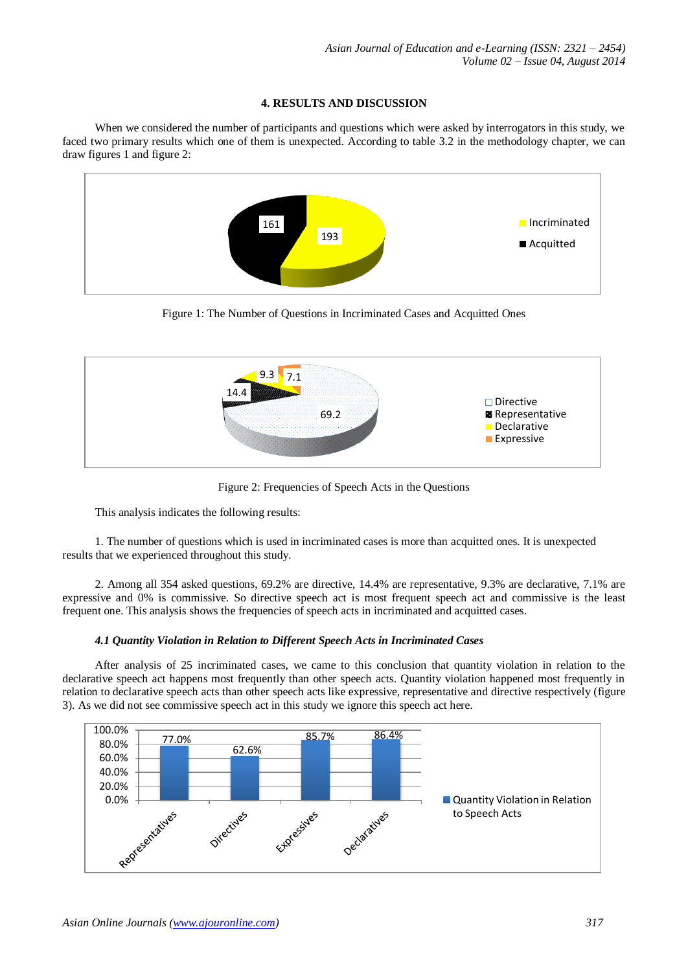# **4. RESULTS AND DISCUSSION**

When we considered the number of participants and questions which were asked by interrogators in this study, we faced two primary results which one of them is unexpected. According to table 3.2 in the methodology chapter, we can draw figures 1 and figure 2:



Figure 1: The Number of Questions in Incriminated Cases and Acquitted Ones



Figure 2: Frequencies of Speech Acts in the Questions

This analysis indicates the following results:

1. The number of questions which is used in incriminated cases is more than acquitted ones. It is unexpected results that we experienced throughout this study.

2. Among all 354 asked questions, 69.2% are directive, 14.4% are representative, 9.3% are declarative, 7.1% are expressive and 0% is commissive. So directive speech act is most frequent speech act and commissive is the least frequent one. This analysis shows the frequencies of speech acts in incriminated and acquitted cases.

# *4.1 Quantity Violation in Relation to Different Speech Acts in Incriminated Cases*

After analysis of 25 incriminated cases, we came to this conclusion that quantity violation in relation to the declarative speech act happens most frequently than other speech acts. Quantity violation happened most frequently in relation to declarative speech acts than other speech acts like expressive, representative and directive respectively (figure 3). As we did not see commissive speech act in this study we ignore this speech act here.

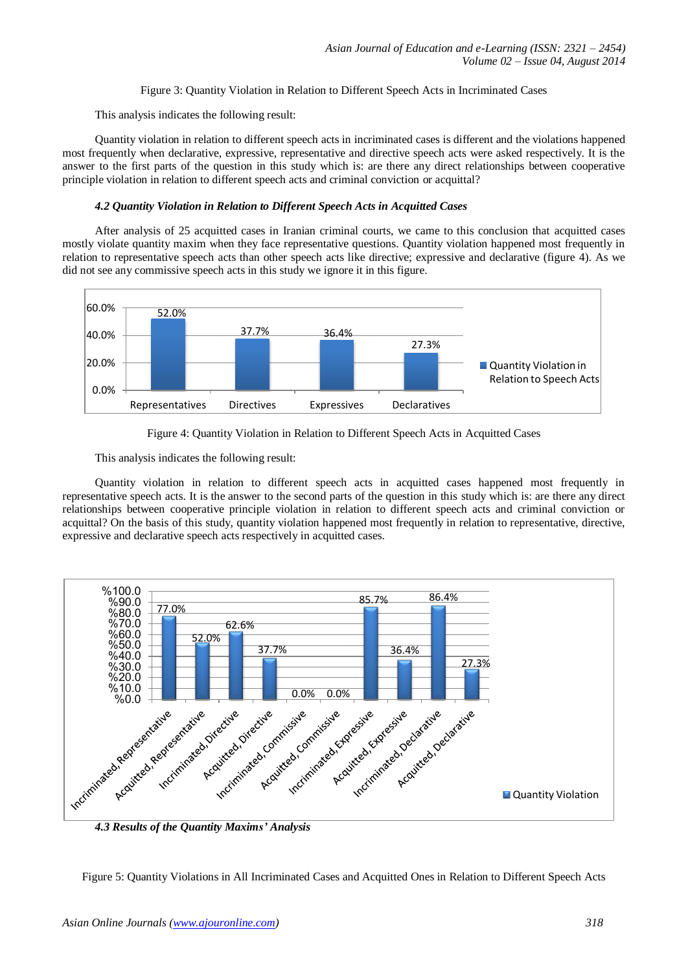# Figure 3: Quantity Violation in Relation to Different Speech Acts in Incriminated Cases

This analysis indicates the following result:

Quantity violation in relation to different speech acts in incriminated cases is different and the violations happened most frequently when declarative, expressive, representative and directive speech acts were asked respectively. It is the answer to the first parts of the question in this study which is: are there any direct relationships between cooperative principle violation in relation to different speech acts and criminal conviction or acquittal?

## *4.2 Quantity Violation in Relation to Different Speech Acts in Acquitted Cases*

After analysis of 25 acquitted cases in Iranian criminal courts, we came to this conclusion that acquitted cases mostly violate quantity maxim when they face representative questions. Quantity violation happened most frequently in relation to representative speech acts than other speech acts like directive; expressive and declarative (figure 4). As we did not see any commissive speech acts in this study we ignore it in this figure.





This analysis indicates the following result:

Quantity violation in relation to different speech acts in acquitted cases happened most frequently in representative speech acts. It is the answer to the second parts of the question in this study which is: are there any direct relationships between cooperative principle violation in relation to different speech acts and criminal conviction or acquittal? On the basis of this study, quantity violation happened most frequently in relation to representative, directive, expressive and declarative speech acts respectively in acquitted cases.



Figure 5: Quantity Violations in All Incriminated Cases and Acquitted Ones in Relation to Different Speech Acts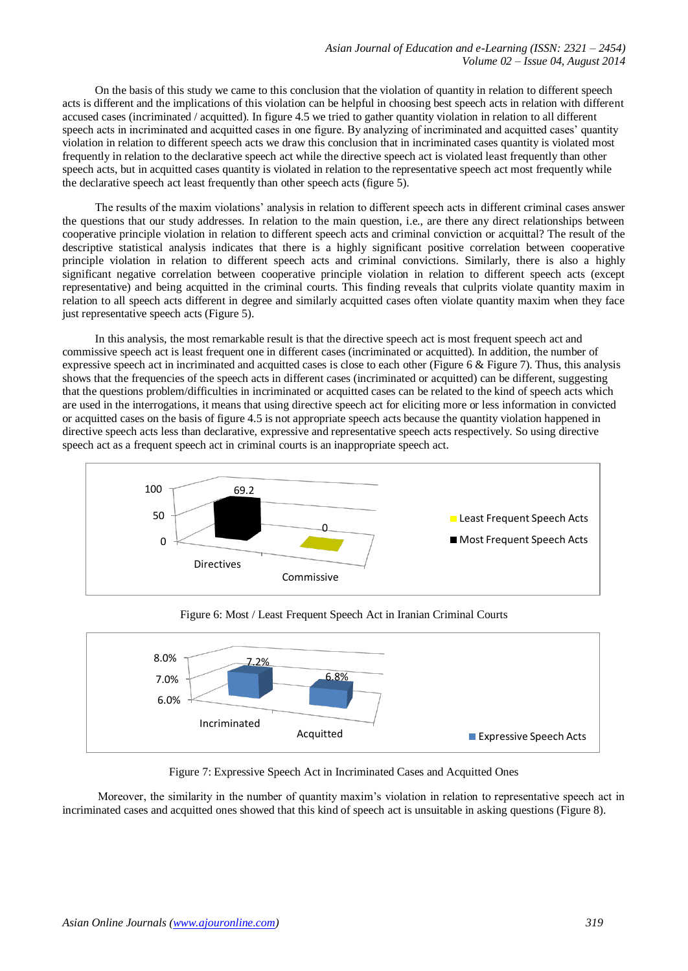On the basis of this study we came to this conclusion that the violation of quantity in relation to different speech acts is different and the implications of this violation can be helpful in choosing best speech acts in relation with different accused cases (incriminated / acquitted). In figure 4.5 we tried to gather quantity violation in relation to all different speech acts in incriminated and acquitted cases in one figure. By analyzing of incriminated and acquitted cases' quantity violation in relation to different speech acts we draw this conclusion that in incriminated cases quantity is violated most frequently in relation to the declarative speech act while the directive speech act is violated least frequently than other speech acts, but in acquitted cases quantity is violated in relation to the representative speech act most frequently while the declarative speech act least frequently than other speech acts (figure 5).

The results of the maxim violations' analysis in relation to different speech acts in different criminal cases answer the questions that our study addresses. In relation to the main question, i.e., are there any direct relationships between cooperative principle violation in relation to different speech acts and criminal conviction or acquittal? The result of the descriptive statistical analysis indicates that there is a highly significant positive correlation between cooperative principle violation in relation to different speech acts and criminal convictions. Similarly, there is also a highly significant negative correlation between cooperative principle violation in relation to different speech acts (except representative) and being acquitted in the criminal courts. This finding reveals that culprits violate quantity maxim in relation to all speech acts different in degree and similarly acquitted cases often violate quantity maxim when they face just representative speech acts (Figure 5).

In this analysis, the most remarkable result is that the directive speech act is most frequent speech act and commissive speech act is least frequent one in different cases (incriminated or acquitted). In addition, the number of expressive speech act in incriminated and acquitted cases is close to each other (Figure 6 & Figure 7). Thus, this analysis shows that the frequencies of the speech acts in different cases (incriminated or acquitted) can be different, suggesting that the questions problem/difficulties in incriminated or acquitted cases can be related to the kind of speech acts which are used in the interrogations, it means that using directive speech act for eliciting more or less information in convicted or acquitted cases on the basis of figure 4.5 is not appropriate speech acts because the quantity violation happened in directive speech acts less than declarative, expressive and representative speech acts respectively. So using directive speech act as a frequent speech act in criminal courts is an inappropriate speech act.





Figure 6: Most / Least Frequent Speech Act in Iranian Criminal Courts

Figure 7: Expressive Speech Act in Incriminated Cases and Acquitted Ones

Moreover, the similarity in the number of quantity maxim's violation in relation to representative speech act in incriminated cases and acquitted ones showed that this kind of speech act is unsuitable in asking questions (Figure 8).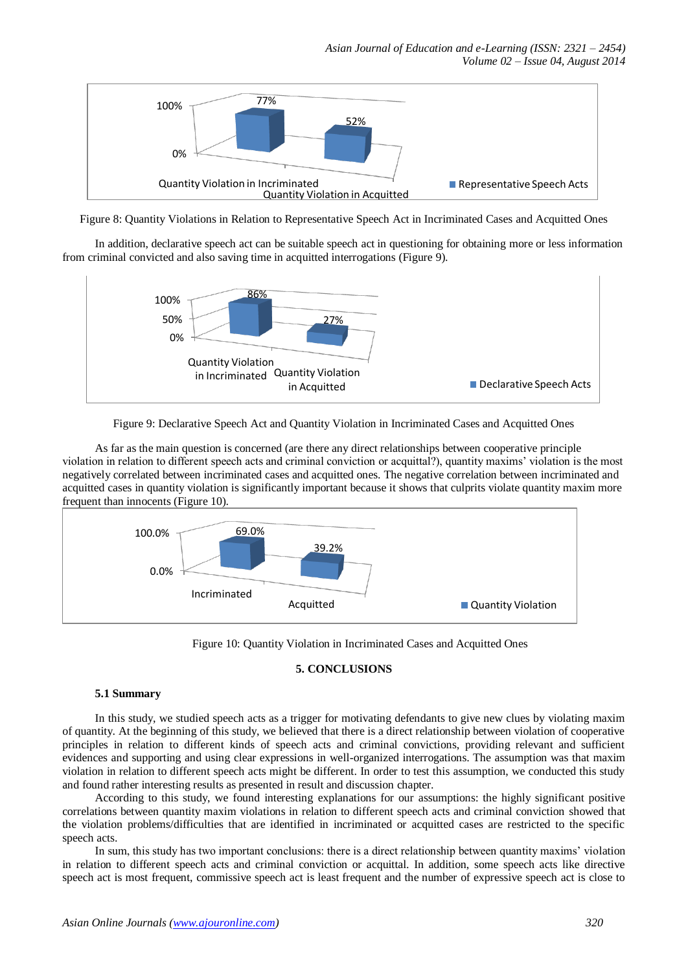

Figure 8: Quantity Violations in Relation to Representative Speech Act in Incriminated Cases and Acquitted Ones

In addition, declarative speech act can be suitable speech act in questioning for obtaining more or less information from criminal convicted and also saving time in acquitted interrogations (Figure 9).



Figure 9: Declarative Speech Act and Quantity Violation in Incriminated Cases and Acquitted Ones

As far as the main question is concerned (are there any direct relationships between cooperative principle violation in relation to different speech acts and criminal conviction or acquittal?), quantity maxims' violation is the most negatively correlated between incriminated cases and acquitted ones. The negative correlation between incriminated and acquitted cases in quantity violation is significantly important because it shows that culprits violate quantity maxim more frequent than innocents (Figure 10).



Figure 10: Quantity Violation in Incriminated Cases and Acquitted Ones

# **5. CONCLUSIONS**

# **5.1 Summary**

In this study, we studied speech acts as a trigger for motivating defendants to give new clues by violating maxim of quantity. At the beginning of this study, we believed that there is a direct relationship between violation of cooperative principles in relation to different kinds of speech acts and criminal convictions, providing relevant and sufficient evidences and supporting and using clear expressions in well-organized interrogations. The assumption was that maxim violation in relation to different speech acts might be different. In order to test this assumption, we conducted this study and found rather interesting results as presented in result and discussion chapter.

According to this study, we found interesting explanations for our assumptions: the highly significant positive correlations between quantity maxim violations in relation to different speech acts and criminal conviction showed that the violation problems/difficulties that are identified in incriminated or acquitted cases are restricted to the specific speech acts.

In sum, this study has two important conclusions: there is a direct relationship between quantity maxims' violation in relation to different speech acts and criminal conviction or acquittal. In addition, some speech acts like directive speech act is most frequent, commissive speech act is least frequent and the number of expressive speech act is close to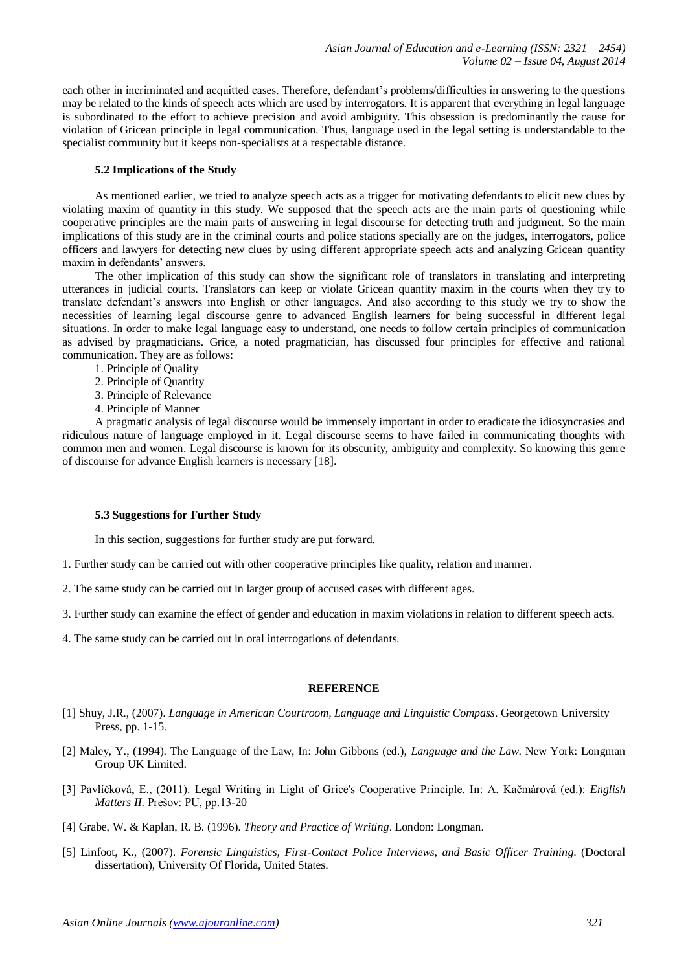each other in incriminated and acquitted cases. Therefore, defendant's problems/difficulties in answering to the questions may be related to the kinds of speech acts which are used by interrogators. It is apparent that everything in legal language is subordinated to the effort to achieve precision and avoid ambiguity. This obsession is predominantly the cause for violation of Gricean principle in legal communication. Thus, language used in the legal setting is understandable to the specialist community but it keeps non-specialists at a respectable distance.

## **5.2 Implications of the Study**

As mentioned earlier, we tried to analyze speech acts as a trigger for motivating defendants to elicit new clues by violating maxim of quantity in this study. We supposed that the speech acts are the main parts of questioning while cooperative principles are the main parts of answering in legal discourse for detecting truth and judgment. So the main implications of this study are in the criminal courts and police stations specially are on the judges, interrogators, police officers and lawyers for detecting new clues by using different appropriate speech acts and analyzing Gricean quantity maxim in defendants' answers.

The other implication of this study can show the significant role of translators in translating and interpreting utterances in judicial courts. Translators can keep or violate Gricean quantity maxim in the courts when they try to translate defendant's answers into English or other languages. And also according to this study we try to show the necessities of learning legal discourse genre to advanced English learners for being successful in different legal situations. In order to make legal language easy to understand, one needs to follow certain principles of communication as advised by pragmaticians. Grice, a noted pragmatician, has discussed four principles for effective and rational communication. They are as follows:

- 1. Principle of Quality
- 2. Principle of Quantity
- 3. Principle of Relevance
- 4. Principle of Manner

A pragmatic analysis of legal discourse would be immensely important in order to eradicate the idiosyncrasies and ridiculous nature of language employed in it. Legal discourse seems to have failed in communicating thoughts with common men and women. Legal discourse is known for its obscurity, ambiguity and complexity. So knowing this genre of discourse for advance English learners is necessary [18].

### **5.3 Suggestions for Further Study**

In this section, suggestions for further study are put forward.

- 1. Further study can be carried out with other cooperative principles like quality, relation and manner.
- 2. The same study can be carried out in larger group of accused cases with different ages.
- 3. Further study can examine the effect of gender and education in maxim violations in relation to different speech acts.
- 4. The same study can be carried out in oral interrogations of defendants.

### **REFERENCE**

- [1] Shuy, J.R., (2007). *Language in American Courtroom, Language and Linguistic Compass*. Georgetown University Press, pp. 1-15.
- [2] Maley, Y., (1994). The Language of the Law, In: John Gibbons (ed.), *Language and the Law*. New York: Longman Group UK Limited.
- [3] Pavlíčková, E., (2011). Legal Writing in Light of Grice's Cooperative Principle. In: A. Kačmárová (ed.): *English Matters II*. Prešov: PU, pp.13-20
- [4] Grabe, W. & Kaplan, R. B. (1996). *Theory and Practice of Writing*. London: Longman.
- [5] Linfoot, K., (2007). *Forensic Linguistics, First-Contact Police Interviews, and Basic Officer Training*. (Doctoral dissertation), University Of Florida, United States.